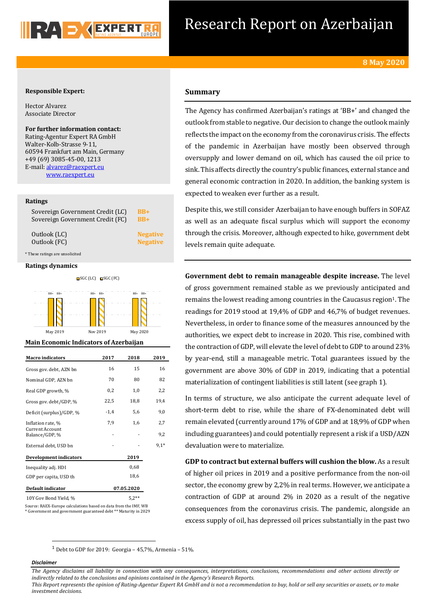# Research Report on Azerbaijan

# **Responsible Expert:**

Hector Alvarez Associate Director

For further information contact: Rating-Agentur Expert RA GmbH Walter-Kolb-Strasse 9-11, 60594 Frankfurt am Main, Germany +49 (69) 3085-45-00, 1213 E-mail: alvarez@raexpert.eu www.raexpert.eu

## **Ratings**

| Sovereign Government Credit (LC) | $BB+$           |
|----------------------------------|-----------------|
| Sovereign Government Credit (FC) | $BB+$           |
| Outlook (LC)                     | <b>Negative</b> |
| Outlook (FC)                     | <b>Negative</b> |

\* These ratings are unsolicited

### **Ratings dynamics**



May 2019 Nov 2019 May 2020

### **Main Economic Indicators of Azerbaijan**

| <b>Macro</b> indicators                                         | 2017   | 2018       | 2019   |  |
|-----------------------------------------------------------------|--------|------------|--------|--|
| Gross gov. debt, AZN bn                                         | 16     | 15         | 16     |  |
| Nominal GDP, AZN bn                                             | 70     | 80         | 82     |  |
| Real GDP growth, %                                              | 0,2    | 1,0        | 2,2    |  |
| Gross gov. debt/GDP, %                                          | 22,5   | 18,8       | 19,4   |  |
| Deficit (surplus)/GDP, %                                        | $-1,4$ | 5,6        | 9,0    |  |
| Inflation rate, %                                               | 7,9    | 1,6        | 2,7    |  |
| <b>Current Account</b><br>Balance/GDP, %                        |        |            | 9,2    |  |
| External debt, USD bn                                           |        |            | $9,1*$ |  |
| <b>Development indicators</b>                                   |        | 2019       |        |  |
| Inequality adj. HDI                                             |        | 0,68       |        |  |
| GDP per capita, USD th                                          |        | 18,6       |        |  |
| Default indicator                                               |        | 07.05.2020 |        |  |
| 10Y Gov Bond Yield, %                                           |        | $5.2**$    |        |  |
| Course, DARV Europe solmulations hosed on data from the IME MID |        |            |        |  |

Source: RAEX-Europe calculations based on data from the IMF, WB \* Government and government guaranteed debt \*\* Maturity in 2029

# **Summary**

The Agency has confirmed Azerbaijan's ratings at 'BB+' and changed the outlook from stable to negative. Our decision to change the outlook mainly reflects the impact on the economy from the coronavirus crisis. The effects of the pandemic in Azerbaijan have mostly been observed through oversupply and lower demand on oil, which has caused the oil price to sink. This affects directly the country's public finances, external stance and general economic contraction in 2020. In addition, the banking system is expected to weaken ever further as a result.

Despite this, we still consider Azerbaijan to have enough buffers in SOFAZ as well as an adequate fiscal surplus which will support the economy through the crisis. Moreover, although expected to hike, government debt levels remain quite adequate.

**Government debt to remain manageable despite increase.** The level of gross government remained stable as we previously anticipated and remains the lowest reading among countries in the Caucasus region<sup>1</sup>. The readings for 2019 stood at 19,4% of GDP and 46,7% of budget revenues. Nevertheless, in order to finance some of the measures announced by the authorities, we expect debt to increase in 2020. This rise, combined with the contraction of GDP, will elevate the level of debt to GDP to around 23% by year-end, still a manageable metric. Total guarantees issued by the government are above 30% of GDP in 2019, indicating that a potential materialization of contingent liabilities is still latent (see graph 1).

In terms of structure, we also anticipate the current adequate level of short-term debt to rise, while the share of FX-denominated debt will remain elevated (currently around 17% of GDP and at 18,9% of GDP when including guarantees) and could potentially represent a risk if a USD/AZN devaluation were to materialize.

**GDP** to contract but external buffers will cushion the blow. As a result of higher oil prices in 2019 and a positive performance from the non-oil sector, the economy grew by 2,2% in real terms. However, we anticipate a contraction of GDP at around  $2\%$  in 2020 as a result of the negative consequences from the coronavirus crisis. The pandemic, alongside an excess supply of oil, has depressed oil prices substantially in the past two

 $1$  Debt to GDP for 2019: Georgia – 45,7%, Armenia – 51%.

# *Disclaimer*

The Agency disclaims all liability in connection with any consequences, interpretations, conclusions, recommendations and other actions directly or indirectly related to the conclusions and opinions contained in the Agency's Research Reports.

This Report represents the opinion of Rating-Agentur Expert RA GmbH and is not a recommendation to buy, hold or sell any securities or assets, or to make *investment decisions.*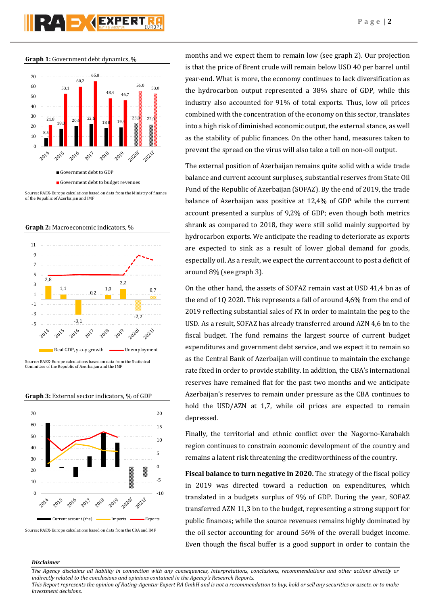**Graph 1:** Government debt dynamics, %



Source: RAEX-Europe calculations based on data from the Ministry of finance of the Republic of Azerbaijan and IMF





Source: RAEX-Europe calculations based on data from the Statistical Committee of the Republic of Azerbaijan and the IMF

**Graph 3:** External sector indicators, % of GDP



months and we expect them to remain low (see graph 2). Our projection is that the price of Brent crude will remain below USD 40 per barrel until year-end. What is more, the economy continues to lack diversification as the hydrocarbon output represented a  $38\%$  share of GDP, while this industry also accounted for 91% of total exports. Thus, low oil prices combined with the concentration of the economy on this sector, translates into a high risk of diminished economic output, the external stance, as well as the stability of public finances. On the other hand, measures taken to prevent the spread on the virus will also take a toll on non-oil output.

The external position of Azerbaijan remains quite solid with a wide trade balance and current account surpluses, substantial reserves from State Oil Fund of the Republic of Azerbaijan (SOFAZ). By the end of 2019, the trade balance of Azerbaijan was positive at 12,4% of GDP while the current account presented a surplus of 9,2% of GDP; even though both metrics shrank as compared to 2018, they were still solid mainly supported by hydrocarbon exports. We anticipate the reading to deteriorate as exports are expected to sink as a result of lower global demand for goods, especially oil. As a result, we expect the current account to post a deficit of around 8% (see graph 3).

On the other hand, the assets of SOFAZ remain vast at USD 41,4 bn as of the end of 10 2020. This represents a fall of around  $4.6\%$  from the end of 2019 reflecting substantial sales of FX in order to maintain the peg to the USD. As a result, SOFAZ has already transferred around AZN 4,6 bn to the fiscal budget. The fund remains the largest source of current budget expenditures and government debt service, and we expect it to remain so as the Central Bank of Azerbaijan will continue to maintain the exchange rate fixed in order to provide stability. In addition, the CBA's international reserves have remained flat for the past two months and we anticipate Azerbaijan's reserves to remain under pressure as the CBA continues to hold the USD/AZN at 1,7, while oil prices are expected to remain depressed.

Finally, the territorial and ethnic conflict over the Nagorno-Karabakh region continues to constrain economic development of the country and remains a latent risk threatening the creditworthiness of the country.

**Fiscal balance to turn negative in 2020.** The strategy of the fiscal policy in 2019 was directed toward a reduction on expenditures, which translated in a budgets surplus of 9% of GDP. During the year, SOFAZ transferred AZN 11,3 bn to the budget, representing a strong support for public finances; while the source revenues remains highly dominated by the oil sector accounting for around  $56\%$  of the overall budget income. Even though the fiscal buffer is a good support in order to contain the

# *Disclaimer*

The Agency disclaims all liability in connection with any consequences, interpretations, conclusions, recommendations and other actions directly or indirectly related to the conclusions and opinions contained in the Agency's Research Reports.

This Report represents the opinion of Rating-Agentur Expert RA GmbH and is not a recommendation to buy, hold or sell any securities or assets, or to make *investment decisions.*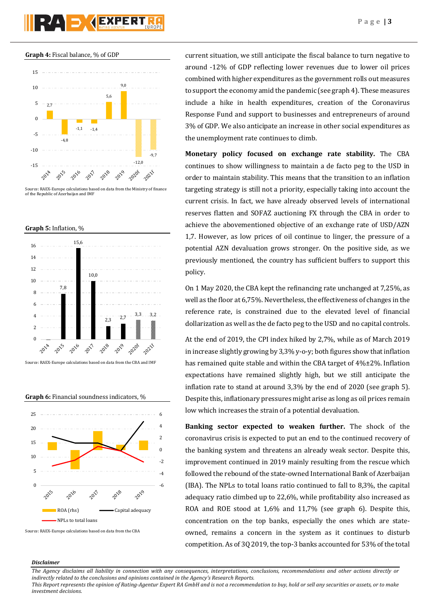**Graph 4:** Fiscal balance, % of GDP



Source: RAEX-Europe calculations based on data from the Ministry of finance of the Republic of Azerbaijan and IMF





Source: RAEX-Europe calculations based on data from the CBA and IMF



Source: RAEX-Europe calculations based on data from the CBA

current situation, we still anticipate the fiscal balance to turn negative to around -12% of GDP reflecting lower revenues due to lower oil prices combined with higher expenditures as the government rolls out measures to support the economy amid the pandemic (see graph 4). These measures include a hike in health expenditures, creation of the Coronavirus Response Fund and support to businesses and entrepreneurs of around 3% of GDP. We also anticipate an increase in other social expenditures as the unemployment rate continues to climb.

**Monetary policy focused on exchange rate stability.** The CBA continues to show willingness to maintain a de facto peg to the USD in order to maintain stability. This means that the transition to an inflation targeting strategy is still not a priority, especially taking into account the current crisis. In fact, we have already observed levels of international reserves flatten and SOFAZ auctioning FX through the CBA in order to achieve the abovementioned objective of an exchange rate of USD/AZN 1,7. However, as low prices of oil continue to linger, the pressure of a potential AZN devaluation grows stronger. On the positive side, as we previously mentioned, the country has sufficient buffers to support this policy.

On 1 May 2020, the CBA kept the refinancing rate unchanged at 7,25%, as well as the floor at 6,75%. Nevertheless, the effectiveness of changes in the reference rate, is constrained due to the elevated level of financial dollarization as well as the de facto peg to the USD and no capital controls.

At the end of 2019, the CPI index hiked by 2,7%, while as of March 2019 in increase slightly growing by  $3,3\%$  y-o-y; both figures show that inflation has remained quite stable and within the CBA target of  $4\frac{1}{2}\%$ . Inflation expectations have remained slightly high, but we still anticipate the inflation rate to stand at around  $3,3\%$  by the end of 2020 (see graph 5). Despite this, inflationary pressures might arise as long as oil prices remain low which increases the strain of a potential devaluation.

**Banking sector** expected to weaken further. The shock of the coronavirus crisis is expected to put an end to the continued recovery of the banking system and threatens an already weak sector. Despite this, improvement continued in 2019 mainly resulting from the rescue which followed the rebound of the state-owned International Bank of Azerbaijan (IBA). The NPLs to total loans ratio continued to fall to 8,3%, the capital adequacy ratio climbed up to 22,6%, while profitability also increased as ROA and ROE stood at 1,6% and 11,7% (see graph 6). Despite this, concentration on the top banks, especially the ones which are stateowned, remains a concern in the system as it continues to disturb competition. As of 30 2019, the top-3 banks accounted for 53% of the total

## *Disclaimer*

The Agency disclaims all liability in connection with any consequences, interpretations, conclusions, recommendations and other actions directly or indirectly related to the conclusions and opinions contained in the Agency's Research Reports. This Report represents the opinion of Rating-Agentur Expert RA GmbH and is not a recommendation to buy, hold or sell any securities or assets, or to make *investment decisions.*